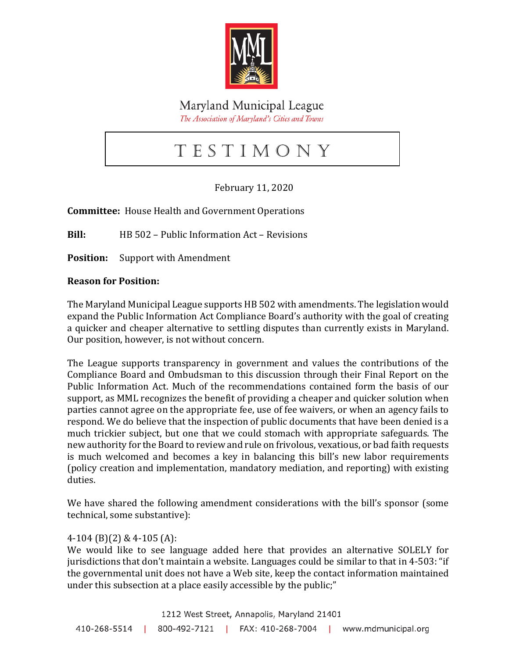

Maryland Municipal League The Association of Maryland's Cities and Towns

# T e s t i m o n y

# February 11, 2020

**Committee:** House Health and Government Operations

**Bill:** HB 502 – Public Information Act – Revisions

**Position:** Support with Amendment

#### **Reason for Position:**

The Maryland Municipal League supports HB 502 with amendments. The legislation would expand the Public Information Act Compliance Board's authority with the goal of creating a quicker and cheaper alternative to settling disputes than currently exists in Maryland. Our position, however, is not without concern.

The League supports transparency in government and values the contributions of the Compliance Board and Ombudsman to this discussion through their Final Report on the Public Information Act. Much of the recommendations contained form the basis of our support, as MML recognizes the benefit of providing a cheaper and quicker solution when parties cannot agree on the appropriate fee, use of fee waivers, or when an agency fails to respond. We do believe that the inspection of public documents that have been denied is a much trickier subject, but one that we could stomach with appropriate safeguards. The new authority for the Board to review and rule on frivolous, vexatious, or bad faith requests is much welcomed and becomes a key in balancing this bill's new labor requirements (policy creation and implementation, mandatory mediation, and reporting) with existing duties.

We have shared the following amendment considerations with the bill's sponsor (some technical, some substantive):

#### 4-104 (B)(2) & 4-105 (A):

We would like to see language added here that provides an alternative SOLELY for jurisdictions that don't maintain a website. Languages could be similar to that in 4-503: "if the governmental unit does not have a Web site, keep the contact information maintained under this subsection at a place easily accessible by the public;"

1212 West Street, Annapolis, Maryland 21401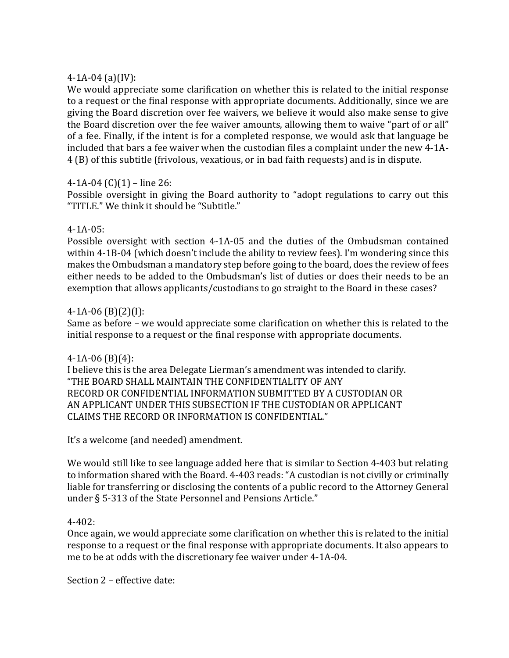### 4-1A-04 (a)(IV):

We would appreciate some clarification on whether this is related to the initial response to a request or the final response with appropriate documents. Additionally, since we are giving the Board discretion over fee waivers, we believe it would also make sense to give the Board discretion over the fee waiver amounts, allowing them to waive "part of or all" of a fee. Finally, if the intent is for a completed response, we would ask that language be included that bars a fee waiver when the custodian files a complaint under the new 4-1A-4 (B) of this subtitle (frivolous, vexatious, or in bad faith requests) and is in dispute.

#### 4-1A-04 (C)(1) – line 26:

Possible oversight in giving the Board authority to "adopt regulations to carry out this "TITLE." We think it should be "Subtitle."

#### 4-1A-05:

Possible oversight with section 4-1A-05 and the duties of the Ombudsman contained within 4-1B-04 (which doesn't include the ability to review fees). I'm wondering since this makes the Ombudsman a mandatory step before going to the board, does the review of fees either needs to be added to the Ombudsman's list of duties or does their needs to be an exemption that allows applicants/custodians to go straight to the Board in these cases?

## 4-1A-06 (B)(2)(I):

Same as before – we would appreciate some clarification on whether this is related to the initial response to a request or the final response with appropriate documents.

#### 4-1A-06 (B)(4):

I believe this is the area Delegate Lierman's amendment was intended to clarify. "THE BOARD SHALL MAINTAIN THE CONFIDENTIALITY OF ANY RECORD OR CONFIDENTIAL INFORMATION SUBMITTED BY A CUSTODIAN OR AN APPLICANT UNDER THIS SUBSECTION IF THE CUSTODIAN OR APPLICANT CLAIMS THE RECORD OR INFORMATION IS CONFIDENTIAL."

It's a welcome (and needed) amendment.

We would still like to see language added here that is similar to Section 4-403 but relating to information shared with the Board. 4-403 reads: "A custodian is not civilly or criminally liable for transferring or disclosing the contents of a public record to the Attorney General under § 5-313 of the State Personnel and Pensions Article."

#### 4-402:

Once again, we would appreciate some clarification on whether this is related to the initial response to a request or the final response with appropriate documents. It also appears to me to be at odds with the discretionary fee waiver under 4-1A-04.

Section 2 – effective date: